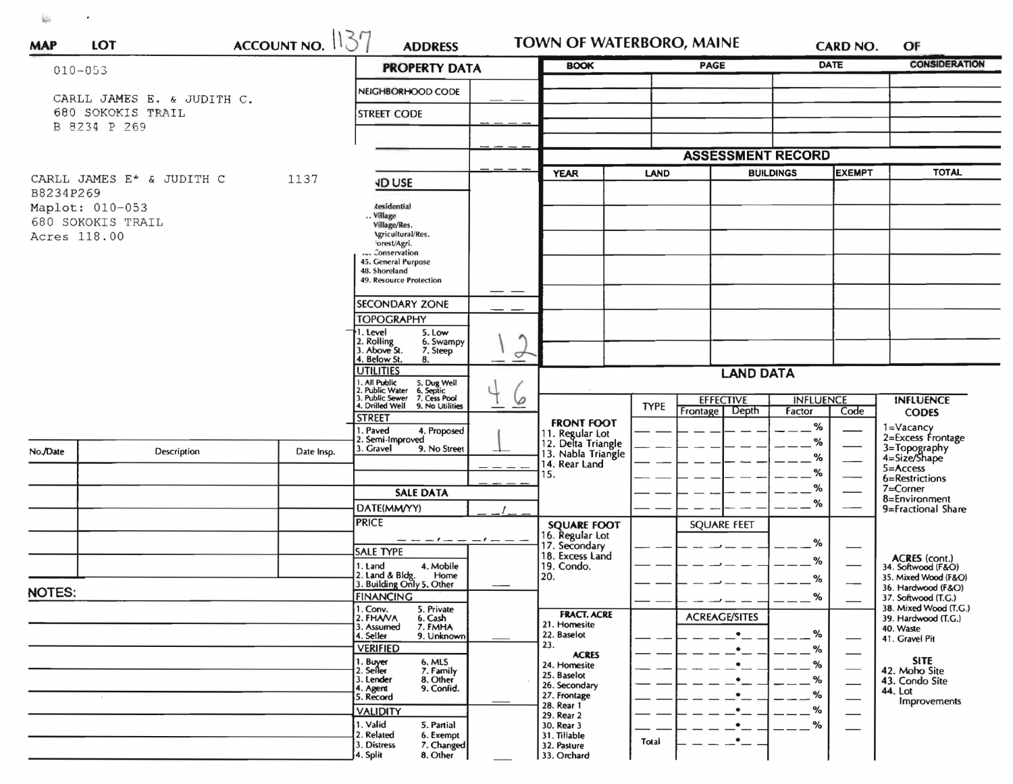$\frac{1}{2} \frac{1}{2} \frac{1}{2}$  . The contract of the contract of the contract of the contract of the contract of the contract of the contract of the contract of the contract of the contract of the contract of the contract of the

|                                   |                                                      | ACCOUNT NO. 137 | <b>ADDRESS</b>                                                                                                                 |                                                                           | <b>TOWN OF WATERBORO, MAINE</b>                      |                                    | OF                                                 |  |  |
|-----------------------------------|------------------------------------------------------|-----------------|--------------------------------------------------------------------------------------------------------------------------------|---------------------------------------------------------------------------|------------------------------------------------------|------------------------------------|----------------------------------------------------|--|--|
|                                   | $010 - 053$                                          |                 | <b>PROPERTY DATA</b>                                                                                                           | <b>BOOK</b>                                                               | <b>PAGE</b>                                          | <b>DATE</b>                        | <b>CONSIDERATION</b>                               |  |  |
|                                   | CARLL JAMES E. & JUDITH C.                           |                 | NEIGHBORHOOD CODE                                                                                                              |                                                                           |                                                      |                                    |                                                    |  |  |
| 680 SOKOKIS TRAIL                 |                                                      | STREET CODE     |                                                                                                                                |                                                                           |                                                      |                                    |                                                    |  |  |
|                                   | B 8234 P 269                                         |                 |                                                                                                                                |                                                                           |                                                      |                                    |                                                    |  |  |
|                                   |                                                      |                 |                                                                                                                                |                                                                           | <b>ASSESSMENT RECORD</b>                             |                                    |                                                    |  |  |
| CARLL JAMES E* & JUDITH C<br>1137 |                                                      |                 | <b>JD USE</b>                                                                                                                  | <b>YEAR</b>                                                               | LAND                                                 | <b>EXEMPT</b><br><b>BUILDINGS</b>  | <b>TOTAL</b>                                       |  |  |
| B8234P269                         |                                                      |                 | <b>Residential</b>                                                                                                             |                                                                           |                                                      |                                    |                                                    |  |  |
|                                   | Maplot: 010-053<br>680 SOKOKIS TRAIL<br>Acres 118.00 |                 | Village<br>Village/Res.                                                                                                        |                                                                           |                                                      |                                    |                                                    |  |  |
|                                   |                                                      |                 | Agricultural/Res.<br>forest/Agri.                                                                                              |                                                                           |                                                      |                                    |                                                    |  |  |
|                                   |                                                      |                 | Conservation<br>45. General Purpose                                                                                            |                                                                           |                                                      |                                    |                                                    |  |  |
|                                   |                                                      |                 | 48. Shoreland<br>49. Resource Protection                                                                                       |                                                                           |                                                      |                                    |                                                    |  |  |
|                                   |                                                      |                 | <b>SECONDARY ZONE</b>                                                                                                          |                                                                           |                                                      |                                    |                                                    |  |  |
|                                   |                                                      |                 | <b>TOPOGRAPHY</b>                                                                                                              |                                                                           |                                                      |                                    |                                                    |  |  |
|                                   |                                                      |                 | 1. Level<br>5. Low<br>2. Rolling<br>3. Above St.<br>6. Swampy<br>7. Steep                                                      |                                                                           |                                                      |                                    |                                                    |  |  |
|                                   |                                                      |                 | ᢦ<br>4. Below St.<br>8.<br><b>UTILITIES</b>                                                                                    |                                                                           |                                                      |                                    |                                                    |  |  |
|                                   |                                                      |                 |                                                                                                                                | <b>LAND DATA</b>                                                          |                                                      |                                    |                                                    |  |  |
|                                   |                                                      |                 | 1. All Public 5. Dug Well<br>2. Public Water 6. Septic<br>3. Public Sewer 7. Cess Pool<br>4. Drilled Well 9. No Utilities<br>6 |                                                                           | <b>EFFECTIVE</b><br><b>TYPE</b><br>Frontage<br>Depth | <b>INFLUENCE</b><br>Factor<br>Code | <b>INFLUENCE</b><br><b>CODES</b>                   |  |  |
|                                   |                                                      |                 | <b>STREET</b><br>1. Paved<br>4. Proposed                                                                                       | <b>FRONT FOOT</b>                                                         |                                                      | %                                  | $1 = \frac{V}{Q}$                                  |  |  |
| No./Date                          | Description                                          | Date Insp.      | 2. Semi-Improved<br>3. Gravel<br>9. No Street                                                                                  | 11. Regular Lot<br>12. Delta Triangle<br>13. Nabla Triangle               |                                                      | %                                  | 2=Excess Frontage<br>3=Topography<br>4=Size/Shape  |  |  |
|                                   |                                                      |                 |                                                                                                                                | 14. Rear Land<br>15.                                                      |                                                      | %<br>%                             | $5 =$ Access                                       |  |  |
|                                   |                                                      |                 | <b>SALE DATA</b>                                                                                                               |                                                                           |                                                      | %                                  | 6=Restrictions<br>7=Corner                         |  |  |
|                                   |                                                      |                 | DATE(MM/YY)                                                                                                                    |                                                                           |                                                      | %                                  | 8=Environment<br>9=Fractional Share                |  |  |
|                                   |                                                      |                 | <b>PRICE</b>                                                                                                                   | <b>SQUARE FOOT</b><br>16. Regular Lot<br>17. Secondary<br>18. Excess Land | <b>SQUARE FEET</b>                                   |                                    |                                                    |  |  |
|                                   |                                                      |                 | <b>SALE TYPE</b>                                                                                                               |                                                                           |                                                      | %                                  |                                                    |  |  |
|                                   |                                                      |                 | 4. Mobile<br>1. Land<br>2. Land & Bldg.                                                                                        | 19. Condo.                                                                |                                                      | %                                  | ACRES (cont.)<br>34. Softwood (F&O)                |  |  |
| <b>NOTES:</b>                     |                                                      |                 | Home<br>3. Building Only 5. Other                                                                                              | 20.                                                                       |                                                      | $\%$                               | 35. Mixed Wood (F&O)<br>36. Hardwood (F&O)         |  |  |
|                                   |                                                      |                 | <b>FINANCING</b><br>1. Conv.<br>5. Private                                                                                     | <b>FRACT. ACRE</b>                                                        |                                                      | %                                  | 37. Softwood (T.G.)<br>38. Mixed Wood (T.G.)       |  |  |
|                                   |                                                      |                 | 2. FHAVA<br>6. Cash<br>7. FMHA<br>3. Assumed<br>4. Seller<br>9. Unknown                                                        | 21. Homesite<br>22. Baselot                                               | <b>ACREAGE/SITES</b>                                 | %                                  | 39. Hardwood (T.G.)<br>40. Waste<br>41. Gravel Pit |  |  |
|                                   |                                                      |                 | <b>VERIFIED</b>                                                                                                                | 23.<br><b>ACRES</b>                                                       |                                                      | %                                  |                                                    |  |  |
|                                   |                                                      |                 | 1. Buyer<br>2. Seller<br>6. MLS<br>7. Family                                                                                   | 24. Homesite<br>25. Baselot                                               |                                                      | %                                  | <b>SITE</b><br>42. Moho Site                       |  |  |
|                                   |                                                      |                 | 3. Lender<br>8. Other<br>9. Confid.<br>4. Agent                                                                                | 26. Secondary                                                             | $\bullet$                                            | %<br>%                             | 43. Condo Site<br>44. Lot                          |  |  |
|                                   |                                                      |                 | 5. Record<br><b>VALIDITY</b>                                                                                                   | 27. Frontage<br>28. Rear 1                                                | $\bullet$                                            | %                                  | Improvements                                       |  |  |
|                                   |                                                      |                 | 1. Valid<br>5. Partial                                                                                                         | 29. Rear 2<br>30. Rear 3                                                  |                                                      | %                                  |                                                    |  |  |
| 4. Split                          |                                                      |                 | 2. Related<br>6. Exempt<br>3. Distress<br>7. Changed                                                                           | 31. Tillable<br>32. Pasture                                               | Total                                                |                                    |                                                    |  |  |